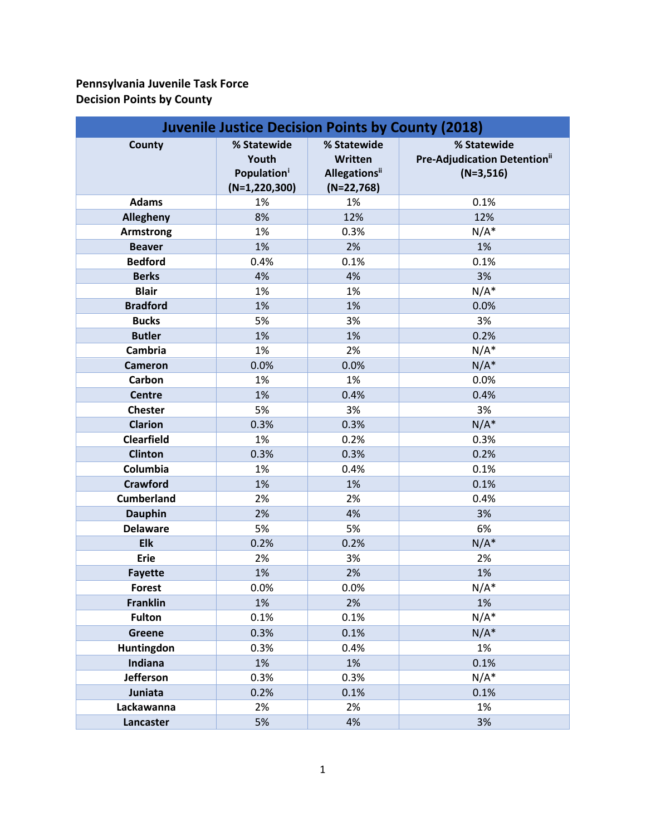## **Pennsylvania Juvenile Task Force Decision Points by County**

| <b>Juvenile Justice Decision Points by County (2018)</b> |                                                                      |                                                                 |                                                           |  |
|----------------------------------------------------------|----------------------------------------------------------------------|-----------------------------------------------------------------|-----------------------------------------------------------|--|
| County                                                   | % Statewide<br>Youth<br>Population <sup>i</sup><br>$(N=1, 220, 300)$ | % Statewide<br>Written<br><b>Allegations</b> ii<br>$(N=22,768)$ | % Statewide<br>Pre-Adjudication Detention"<br>$(N=3,516)$ |  |
| <b>Adams</b>                                             | 1%                                                                   | 1%                                                              | 0.1%                                                      |  |
| Allegheny                                                | 8%                                                                   | 12%                                                             | 12%                                                       |  |
| <b>Armstrong</b>                                         | 1%                                                                   | 0.3%                                                            | $N/A^*$                                                   |  |
| <b>Beaver</b>                                            | 1%                                                                   | 2%                                                              | 1%                                                        |  |
| <b>Bedford</b>                                           | 0.4%                                                                 | 0.1%                                                            | 0.1%                                                      |  |
| <b>Berks</b>                                             | 4%                                                                   | 4%                                                              | 3%                                                        |  |
| <b>Blair</b>                                             | 1%                                                                   | 1%                                                              | $N/A^*$                                                   |  |
| <b>Bradford</b>                                          | 1%                                                                   | 1%                                                              | 0.0%                                                      |  |
| <b>Bucks</b>                                             | 5%                                                                   | 3%                                                              | 3%                                                        |  |
| <b>Butler</b>                                            | 1%                                                                   | 1%                                                              | 0.2%                                                      |  |
| Cambria                                                  | 1%                                                                   | 2%                                                              | $N/A^*$                                                   |  |
| <b>Cameron</b>                                           | 0.0%                                                                 | 0.0%                                                            | $N/A^*$                                                   |  |
| Carbon                                                   | 1%                                                                   | 1%                                                              | 0.0%                                                      |  |
| <b>Centre</b>                                            | 1%                                                                   | 0.4%                                                            | 0.4%                                                      |  |
| <b>Chester</b>                                           | 5%                                                                   | 3%                                                              | 3%                                                        |  |
| <b>Clarion</b>                                           | 0.3%                                                                 | 0.3%                                                            | $N/A^*$                                                   |  |
| <b>Clearfield</b>                                        | 1%                                                                   | 0.2%                                                            | 0.3%                                                      |  |
| <b>Clinton</b>                                           | 0.3%                                                                 | 0.3%                                                            | 0.2%                                                      |  |
| Columbia                                                 | 1%                                                                   | 0.4%                                                            | 0.1%                                                      |  |
| <b>Crawford</b>                                          | 1%                                                                   | 1%                                                              | 0.1%                                                      |  |
| <b>Cumberland</b>                                        | 2%                                                                   | 2%                                                              | 0.4%                                                      |  |
| <b>Dauphin</b>                                           | 2%                                                                   | 4%                                                              | 3%                                                        |  |
| <b>Delaware</b>                                          | 5%                                                                   | 5%                                                              | 6%                                                        |  |
| <b>Elk</b>                                               | 0.2%                                                                 | 0.2%                                                            | $N/A^*$                                                   |  |
| <b>Erie</b>                                              | 2%                                                                   | 3%                                                              | 2%                                                        |  |
| <b>Fayette</b>                                           | 1%                                                                   | 2%                                                              | 1%                                                        |  |
| <b>Forest</b>                                            | 0.0%                                                                 | 0.0%                                                            | $N/A^*$                                                   |  |
| <b>Franklin</b>                                          | 1%                                                                   | 2%                                                              | 1%                                                        |  |
| <b>Fulton</b>                                            | 0.1%                                                                 | 0.1%                                                            | $N/A^*$                                                   |  |
| <b>Greene</b>                                            | 0.3%                                                                 | 0.1%                                                            | $N/A^*$                                                   |  |
| Huntingdon                                               | 0.3%                                                                 | 0.4%                                                            | 1%                                                        |  |
| Indiana                                                  | 1%                                                                   | 1%                                                              | 0.1%                                                      |  |
| Jefferson                                                | 0.3%                                                                 | 0.3%                                                            | $N/A^*$                                                   |  |
| Juniata                                                  | 0.2%                                                                 | 0.1%                                                            | 0.1%                                                      |  |
| Lackawanna                                               | 2%                                                                   | 2%                                                              | 1%                                                        |  |
| Lancaster                                                | 5%                                                                   | 4%                                                              | 3%                                                        |  |